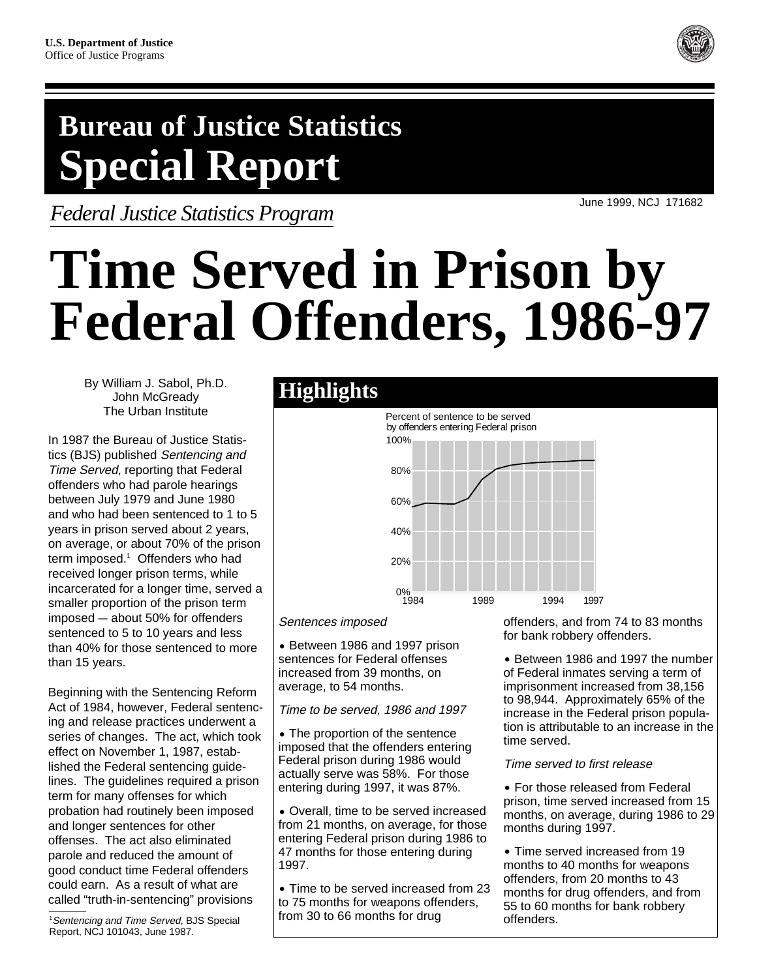## **Bureau of Justice Statistics Special Report**

*Federal Justice Statistics Program*

June 1999, NCJ 171682

# **Time Served in Prison by Federal Offenders, 1986-97**

By William J. Sabol, Ph.D. John McGready The Urban Institute

In 1987 the Bureau of Justice Statistics (BJS) published Sentencing and Time Served, reporting that Federal offenders who had parole hearings between July 1979 and June 1980 and who had been sentenced to 1 to 5 years in prison served about 2 years, on average, or about 70% of the prison term imposed.<sup>1</sup> Offenders who had received longer prison terms, while incarcerated for a longer time, served a smaller proportion of the prison term  $imposed - about 50%$  for offenders sentenced to 5 to 10 years and less than 40% for those sentenced to more than 15 years.

Beginning with the Sentencing Reform Act of 1984, however, Federal sentencing and release practices underwent a series of changes. The act, which took effect on November 1, 1987, established the Federal sentencing guidelines. The guidelines required a prison term for many offenses for which probation had routinely been imposed and longer sentences for other offenses. The act also eliminated parole and reduced the amount of good conduct time Federal offenders could earn. As a result of what are called "truth-in-sentencing" provisions

<sup>1</sup>Sentencing and Time Served, BJS Special Report, NCJ 101043, June 1987.

### **Highlights**



Sentences imposed

˘ Between 1986 and 1997 prison sentences for Federal offenses increased from 39 months, on average, to 54 months.

Time to be served, 1986 and 1997

• The proportion of the sentence imposed that the offenders entering Federal prison during 1986 would actually serve was 58%. For those entering during 1997, it was 87%.

• Overall, time to be served increased from 21 months, on average, for those entering Federal prison during 1986 to 47 months for those entering during 1997.

• Time to be served increased from 23 to 75 months for weapons offenders, from 30 to 66 months for drug

offenders, and from 74 to 83 months for bank robbery offenders.

• Between 1986 and 1997 the number of Federal inmates serving a term of imprisonment increased from 38,156 to 98,944. Approximately 65% of the increase in the Federal prison population is attributable to an increase in the time served.

#### Time served to first release

• For those released from Federal prison, time served increased from 15 months, on average, during 1986 to 29 months during 1997.

• Time served increased from 19 months to 40 months for weapons offenders, from 20 months to 43 months for drug offenders, and from 55 to 60 months for bank robbery offenders.

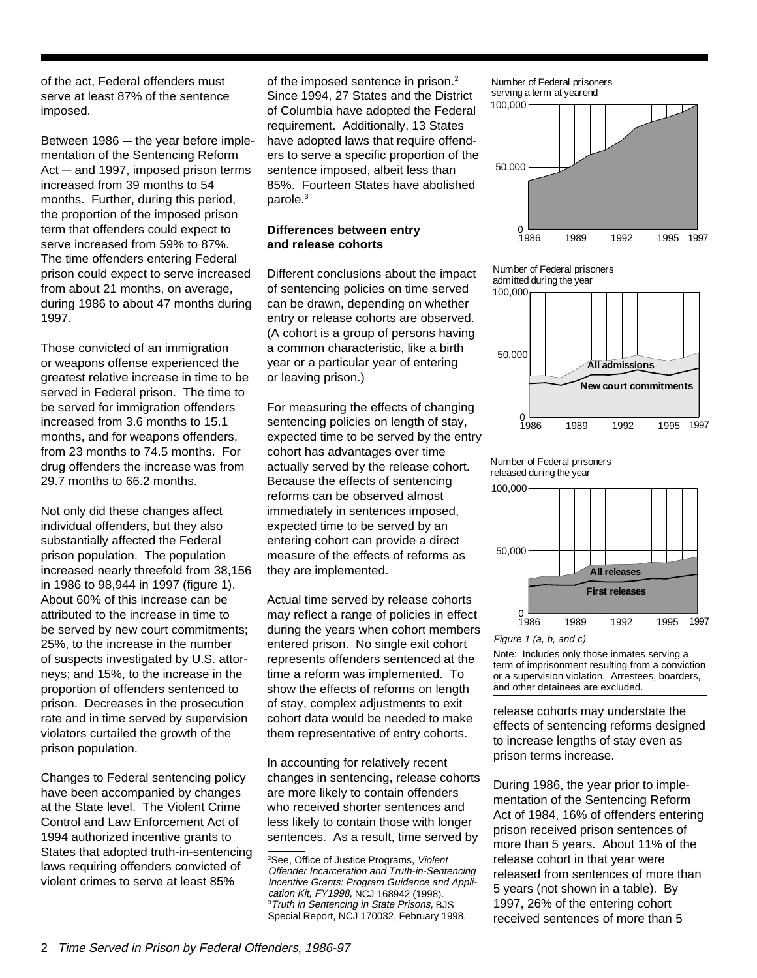of the act, Federal offenders must serve at least 87% of the sentence imposed.

Between  $1986 -$  the year before implementation of the Sentencing Reform  $Act - and 1997$ , imposed prison terms increased from 39 months to 54 months. Further, during this period, the proportion of the imposed prison term that offenders could expect to serve increased from 59% to 87%. The time offenders entering Federal prison could expect to serve increased from about 21 months, on average, during 1986 to about 47 months during 1997.

Those convicted of an immigration or weapons offense experienced the greatest relative increase in time to be served in Federal prison. The time to be served for immigration offenders increased from 3.6 months to 15.1 months, and for weapons offenders, from 23 months to 74.5 months. For drug offenders the increase was from 29.7 months to 66.2 months.

Not only did these changes affect individual offenders, but they also substantially affected the Federal prison population. The population increased nearly threefold from 38,156 in 1986 to 98,944 in 1997 (figure 1). About 60% of this increase can be attributed to the increase in time to be served by new court commitments; 25%, to the increase in the number of suspects investigated by U.S. attorneys; and 15%, to the increase in the proportion of offenders sentenced to prison. Decreases in the prosecution rate and in time served by supervision violators curtailed the growth of the prison population.

Changes to Federal sentencing policy have been accompanied by changes at the State level. The Violent Crime Control and Law Enforcement Act of 1994 authorized incentive grants to States that adopted truth-in-sentencing laws requiring offenders convicted of violent crimes to serve at least 85%

of the imposed sentence in prison. $2$ Since 1994, 27 States and the District of Columbia have adopted the Federal requirement. Additionally, 13 States have adopted laws that require offenders to serve a specific proportion of the sentence imposed, albeit less than 85%. Fourteen States have abolished parole.3

#### **Differences between entry and release cohorts**

Different conclusions about the impact of sentencing policies on time served can be drawn, depending on whether entry or release cohorts are observed. (A cohort is a group of persons having a common characteristic, like a birth year or a particular year of entering or leaving prison.)

For measuring the effects of changing sentencing policies on length of stay, expected time to be served by the entry cohort has advantages over time actually served by the release cohort. Because the effects of sentencing reforms can be observed almost immediately in sentences imposed, expected time to be served by an entering cohort can provide a direct measure of the effects of reforms as they are implemented.

Actual time served by release cohorts may reflect a range of policies in effect during the years when cohort members entered prison. No single exit cohort represents offenders sentenced at the time a reform was implemented. To show the effects of reforms on length of stay, complex adjustments to exit cohort data would be needed to make them representative of entry cohorts.

In accounting for relatively recent changes in sentencing, release cohorts are more likely to contain offenders who received shorter sentences and less likely to contain those with longer sentences. As a result, time served by

1986 1989 1992 1995 0 50,000 100,000 1997 Number of Federal prisoners serving a term at yearend

Number of Federal prisoners admitted during the year







Figure 1 (a, b, and c)

Note: Includes only those inmates serving a term of imprisonment resulting from a conviction or a supervision violation. Arrestees, boarders, and other detainees are excluded.

release cohorts may understate the effects of sentencing reforms designed to increase lengths of stay even as prison terms increase.

During 1986, the year prior to implementation of the Sentencing Reform Act of 1984, 16% of offenders entering prison received prison sentences of more than 5 years. About 11% of the release cohort in that year were released from sentences of more than 5 years (not shown in a table). By 1997, 26% of the entering cohort received sentences of more than 5

<sup>&</sup>lt;sup>2</sup>See, Office of Justice Programs, Violent Offender Incarceration and Truth-in-Sentencing Incentive Grants: Program Guidance and Application Kit, FY1998, NCJ 168942 (1998). 3 Truth in Sentencing in State Prisons, BJS Special Report, NCJ 170032, February 1998.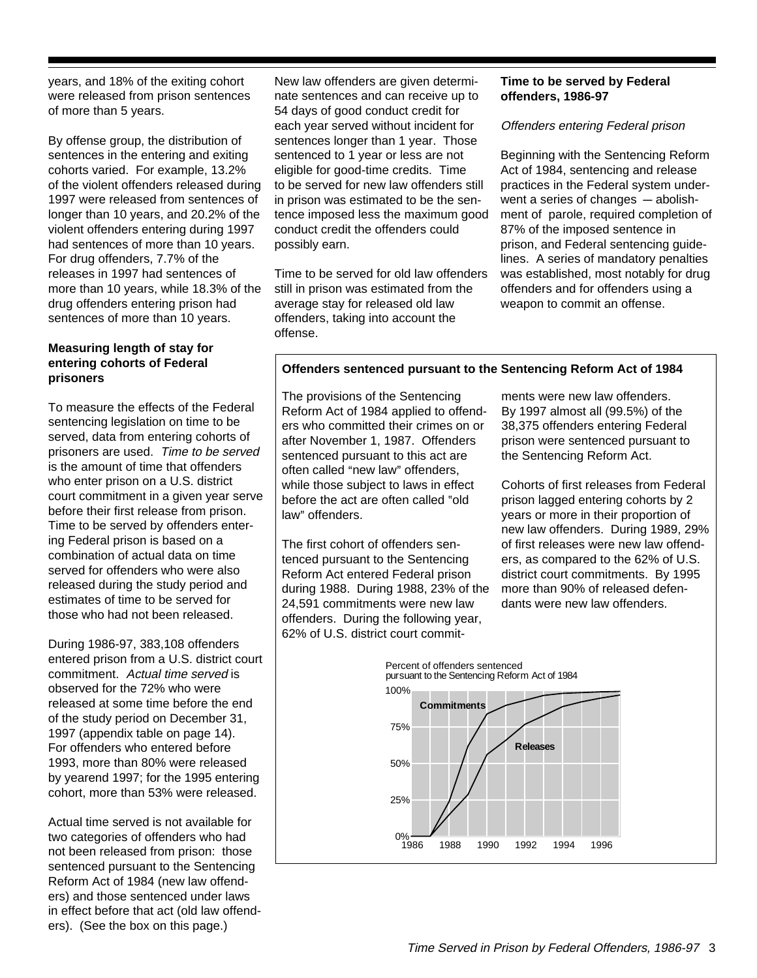years, and 18% of the exiting cohort were released from prison sentences of more than 5 years.

By offense group, the distribution of sentences in the entering and exiting cohorts varied. For example, 13.2% of the violent offenders released during 1997 were released from sentences of longer than 10 years, and 20.2% of the violent offenders entering during 1997 had sentences of more than 10 years. For drug offenders, 7.7% of the releases in 1997 had sentences of more than 10 years, while 18.3% of the drug offenders entering prison had sentences of more than 10 years.

#### **Measuring length of stay for entering cohorts of Federal prisoners**

To measure the effects of the Federal sentencing legislation on time to be served, data from entering cohorts of prisoners are used. Time to be served is the amount of time that offenders who enter prison on a U.S. district court commitment in a given year serve before their first release from prison. Time to be served by offenders entering Federal prison is based on a combination of actual data on time served for offenders who were also released during the study period and estimates of time to be served for those who had not been released.

During 1986-97, 383,108 offenders entered prison from a U.S. district court commitment. Actual time served is observed for the 72% who were released at some time before the end of the study period on December 31, 1997 (appendix table on page 14). For offenders who entered before 1993, more than 80% were released by yearend 1997; for the 1995 entering cohort, more than 53% were released.

Actual time served is not available for two categories of offenders who had not been released from prison: those sentenced pursuant to the Sentencing Reform Act of 1984 (new law offenders) and those sentenced under laws in effect before that act (old law offenders). (See the box on this page.)

New law offenders are given determinate sentences and can receive up to 54 days of good conduct credit for each year served without incident for sentences longer than 1 year. Those sentenced to 1 year or less are not eligible for good-time credits. Time to be served for new law offenders still in prison was estimated to be the sentence imposed less the maximum good conduct credit the offenders could possibly earn.

Time to be served for old law offenders still in prison was estimated from the average stay for released old law offenders, taking into account the offense.

#### **Time to be served by Federal offenders, 1986-97**

#### Offenders entering Federal prison

Beginning with the Sentencing Reform Act of 1984, sentencing and release practices in the Federal system underwent a series of changes  $-$  abolishment of parole, required completion of 87% of the imposed sentence in prison, and Federal sentencing guidelines. A series of mandatory penalties was established, most notably for drug offenders and for offenders using a weapon to commit an offense.

#### **Offenders sentenced pursuant to the Sentencing Reform Act of 1984**

The provisions of the Sentencing Reform Act of 1984 applied to offenders who committed their crimes on or after November 1, 1987. Offenders sentenced pursuant to this act are often called "new law" offenders, while those subject to laws in effect before the act are often called "old law" offenders.

The first cohort of offenders sentenced pursuant to the Sentencing Reform Act entered Federal prison during 1988. During 1988, 23% of the 24,591 commitments were new law offenders. During the following year, 62% of U.S. district court commitments were new law offenders. By 1997 almost all (99.5%) of the 38,375 offenders entering Federal prison were sentenced pursuant to the Sentencing Reform Act.

Cohorts of first releases from Federal prison lagged entering cohorts by 2 years or more in their proportion of new law offenders. During 1989, 29% of first releases were new law offenders, as compared to the 62% of U.S. district court commitments. By 1995 more than 90% of released defendants were new law offenders.

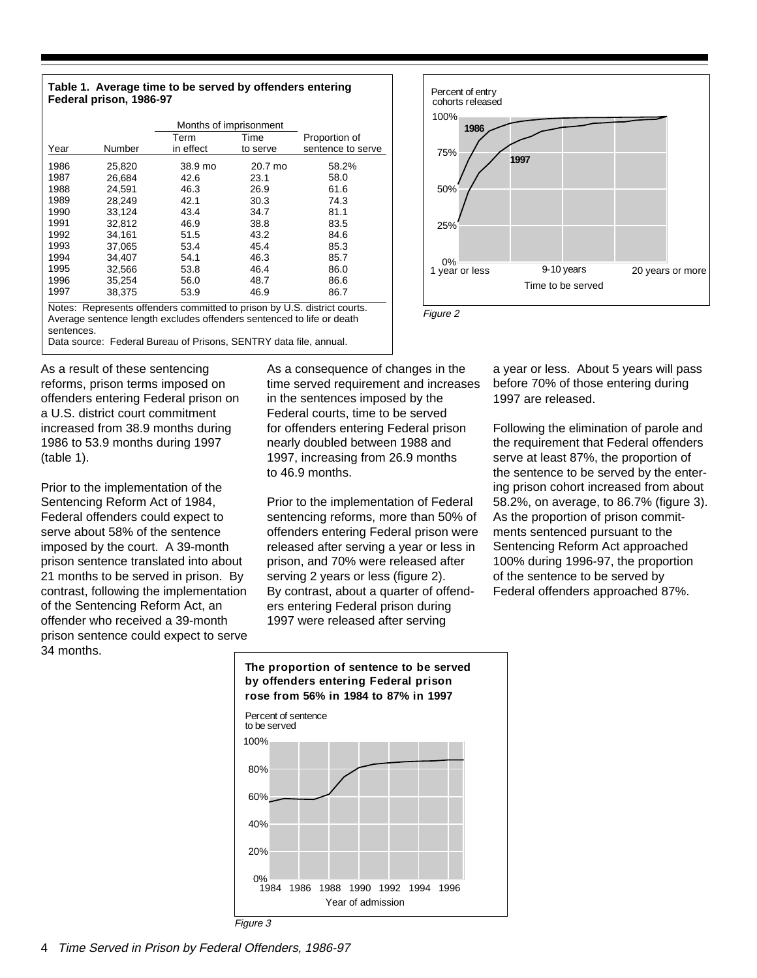#### **Table 1. Average time to be served by offenders entering Federal prison, 1986-97**

|                                                                          | Months of imprisonment |                                                                   |          |                   |  |  |  |  |
|--------------------------------------------------------------------------|------------------------|-------------------------------------------------------------------|----------|-------------------|--|--|--|--|
|                                                                          |                        | Term                                                              | Time     | Proportion of     |  |  |  |  |
| Year                                                                     | Number                 | in effect                                                         | to serve | sentence to serve |  |  |  |  |
| 1986                                                                     | 25,820                 | 38.9 mo                                                           | 20.7 mo  | 58.2%             |  |  |  |  |
| 1987                                                                     | 26.684                 | 42.6                                                              | 23.1     | 58.0              |  |  |  |  |
| 1988                                                                     | 24.591                 | 46.3                                                              | 26.9     | 61.6              |  |  |  |  |
| 1989                                                                     | 28.249                 | 42.1                                                              | 30.3     | 74.3              |  |  |  |  |
| 1990                                                                     | 33,124                 | 43.4                                                              | 34.7     | 81.1              |  |  |  |  |
| 1991                                                                     | 32.812                 | 46.9                                                              | 38.8     | 83.5              |  |  |  |  |
| 1992                                                                     | 34.161                 | 51.5                                                              | 43.2     | 84.6              |  |  |  |  |
| 1993                                                                     | 37,065                 | 53.4                                                              | 45.4     | 85.3              |  |  |  |  |
| 1994                                                                     | 34.407                 | 54.1                                                              | 46.3     | 85.7              |  |  |  |  |
| 1995                                                                     | 32.566                 | 53.8                                                              | 46.4     | 86.0              |  |  |  |  |
| 1996                                                                     | 35,254                 | 56.0                                                              | 48.7     | 86.6              |  |  |  |  |
| 1997                                                                     | 38.375                 | 53.9                                                              | 46.9     | 86.7              |  |  |  |  |
| Notes: Represents offenders committed to prison by U.S. district courts. |                        |                                                                   |          |                   |  |  |  |  |
| Average sentence length excludes offenders sentenced to life or death    |                        |                                                                   |          |                   |  |  |  |  |
|                                                                          | sentences.             |                                                                   |          |                   |  |  |  |  |
|                                                                          |                        | Data source: Federal Bureau of Prisons, SENTRY data file, annual. |          |                   |  |  |  |  |



Figure 2

a year or less. About 5 years will pass before 70% of those entering during 1997 are released.

Following the elimination of parole and the requirement that Federal offenders serve at least 87%, the proportion of the sentence to be served by the entering prison cohort increased from about 58.2%, on average, to 86.7% (figure 3). As the proportion of prison commitments sentenced pursuant to the Sentencing Reform Act approached 100% during 1996-97, the proportion of the sentence to be served by Federal offenders approached 87%.

As a result of these sentencing reforms, prison terms imposed on offenders entering Federal prison on a U.S. district court commitment increased from 38.9 months during 1986 to 53.9 months during 1997 (table 1).

Prior to the implementation of the Sentencing Reform Act of 1984, Federal offenders could expect to serve about 58% of the sentence imposed by the court. A 39-month prison sentence translated into about 21 months to be served in prison. By contrast, following the implementation of the Sentencing Reform Act, an offender who received a 39-month prison sentence could expect to serve 34 months.

As a consequence of changes in the time served requirement and increases in the sentences imposed by the Federal courts, time to be served for offenders entering Federal prison nearly doubled between 1988 and 1997, increasing from 26.9 months to 46.9 months.

Prior to the implementation of Federal sentencing reforms, more than 50% of offenders entering Federal prison were released after serving a year or less in prison, and 70% were released after serving 2 years or less (figure 2). By contrast, about a quarter of offenders entering Federal prison during 1997 were released after serving





Figure 3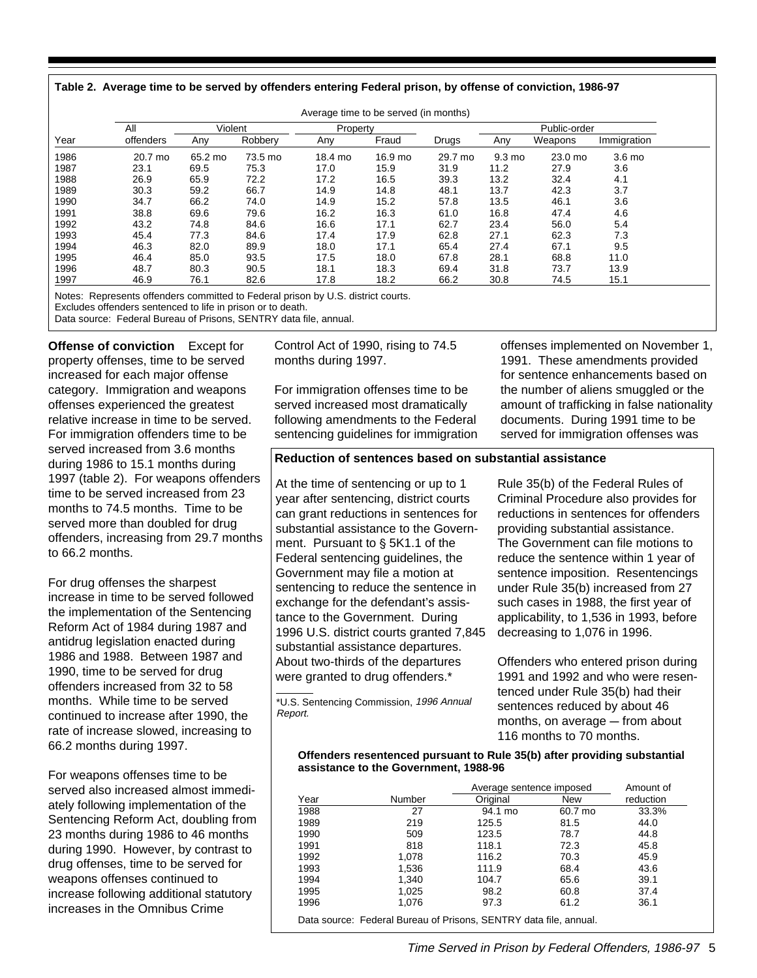| Table 2.  Average time to be served by offenders entering Federal prison, by offense of conviction, 1986-97 |  |  |
|-------------------------------------------------------------------------------------------------------------|--|--|

|      | All       | Violent |         | Property |         |         |                  | Public-order |                   |
|------|-----------|---------|---------|----------|---------|---------|------------------|--------------|-------------------|
| Year | offenders | Any     | Robbery | Any      | Fraud   | Drugs   | Any              | Weapons      | Immigration       |
| 1986 | 20.7 mo   | 65.2 mo | 73.5 mo | 18.4 mo  | 16.9 mo | 29.7 mo | $9.3 \text{ mo}$ | 23.0 mo      | 3.6 <sub>mo</sub> |
| 1987 | 23.1      | 69.5    | 75.3    | 17.0     | 15.9    | 31.9    | 11.2             | 27.9         | 3.6               |
| 1988 | 26.9      | 65.9    | 72.2    | 17.2     | 16.5    | 39.3    | 13.2             | 32.4         | 4.1               |
| 1989 | 30.3      | 59.2    | 66.7    | 14.9     | 14.8    | 48.1    | 13.7             | 42.3         | 3.7               |
| 1990 | 34.7      | 66.2    | 74.0    | 14.9     | 15.2    | 57.8    | 13.5             | 46.1         | 3.6               |
| 1991 | 38.8      | 69.6    | 79.6    | 16.2     | 16.3    | 61.0    | 16.8             | 47.4         | 4.6               |
| 1992 | 43.2      | 74.8    | 84.6    | 16.6     | 17.1    | 62.7    | 23.4             | 56.0         | 5.4               |
| 1993 | 45.4      | 77.3    | 84.6    | 17.4     | 17.9    | 62.8    | 27.1             | 62.3         | 7.3               |
| 1994 | 46.3      | 82.0    | 89.9    | 18.0     | 17.1    | 65.4    | 27.4             | 67.1         | 9.5               |
| 1995 | 46.4      | 85.0    | 93.5    | 17.5     | 18.0    | 67.8    | 28.1             | 68.8         | 11.0              |
| 1996 | 48.7      | 80.3    | 90.5    | 18.1     | 18.3    | 69.4    | 31.8             | 73.7         | 13.9              |
| 1997 | 46.9      | 76.1    | 82.6    | 17.8     | 18.2    | 66.2    | 30.8             | 74.5         | 15.1              |

Notes: Represents offenders committed to Federal prison by U.S. district courts.

Excludes offenders sentenced to life in prison or to death.

Data source: Federal Bureau of Prisons, SENTRY data file, annual.

**Offense of conviction** Except for property offenses, time to be served increased for each major offense category. Immigration and weapons offenses experienced the greatest relative increase in time to be served. For immigration offenders time to be served increased from 3.6 months during 1986 to 15.1 months during 1997 (table 2). For weapons offenders time to be served increased from 23 months to 74.5 months. Time to be served more than doubled for drug offenders, increasing from 29.7 months to 66.2 months.

For drug offenses the sharpest increase in time to be served followed the implementation of the Sentencing Reform Act of 1984 during 1987 and antidrug legislation enacted during 1986 and 1988. Between 1987 and 1990, time to be served for drug offenders increased from 32 to 58 months. While time to be served continued to increase after 1990, the rate of increase slowed, increasing to 66.2 months during 1997.

For weapons offenses time to be served also increased almost immediately following implementation of the Sentencing Reform Act, doubling from 23 months during 1986 to 46 months during 1990. However, by contrast to drug offenses, time to be served for weapons offenses continued to increase following additional statutory increases in the Omnibus Crime

Control Act of 1990, rising to 74.5 months during 1997.

For immigration offenses time to be served increased most dramatically following amendments to the Federal sentencing guidelines for immigration offenses implemented on November 1, 1991. These amendments provided for sentence enhancements based on the number of aliens smuggled or the amount of trafficking in false nationality documents. During 1991 time to be served for immigration offenses was

#### **Reduction of sentences based on substantial assistance**

At the time of sentencing or up to 1 year after sentencing, district courts can grant reductions in sentences for substantial assistance to the Government. Pursuant to  $\S$  5K1.1 of the Federal sentencing guidelines, the Government may file a motion at sentencing to reduce the sentence in exchange for the defendant's assistance to the Government. During 1996 U.S. district courts granted 7,845 substantial assistance departures. About two-thirds of the departures were granted to drug offenders.\*

\*U.S. Sentencing Commission, 1996 Annual Report.

Rule 35(b) of the Federal Rules of Criminal Procedure also provides for reductions in sentences for offenders providing substantial assistance. The Government can file motions to reduce the sentence within 1 year of sentence imposition. Resentencings under Rule 35(b) increased from 27 such cases in 1988, the first year of applicability, to 1,536 in 1993, before decreasing to 1,076 in 1996.

Offenders who entered prison during 1991 and 1992 and who were resentenced under Rule 35(b) had their sentences reduced by about 46 months, on average  $-$  from about 116 months to 70 months.

#### **Offenders resentenced pursuant to Rule 35(b) after providing substantial assistance to the Government, 1988-96**

|      |                                                                   | Average sentence imposed |         | Amount of |
|------|-------------------------------------------------------------------|--------------------------|---------|-----------|
| Year | Number                                                            | Original                 | New     | reduction |
| 1988 | 27                                                                | 94.1 mo                  | 60.7 mo | 33.3%     |
| 1989 | 219                                                               | 125.5                    | 81.5    | 44.0      |
| 1990 | 509                                                               | 123.5                    | 78.7    | 44.8      |
| 1991 | 818                                                               | 118.1                    | 72.3    | 45.8      |
| 1992 | 1,078                                                             | 116.2                    | 70.3    | 45.9      |
| 1993 | 1,536                                                             | 111.9                    | 68.4    | 43.6      |
| 1994 | 1,340                                                             | 104.7                    | 65.6    | 39.1      |
| 1995 | 1,025                                                             | 98.2                     | 60.8    | 37.4      |
| 1996 | 1,076                                                             | 97.3                     | 61.2    | 36.1      |
|      | Data source: Federal Bureau of Prisons, SENTRY data file, annual. |                          |         |           |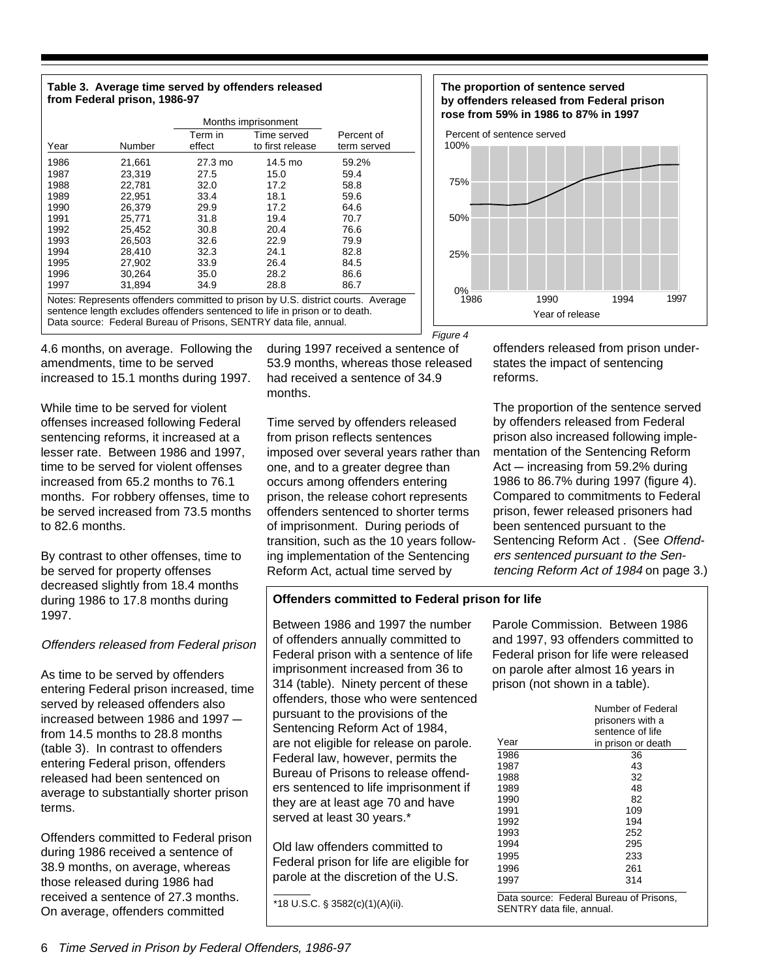#### **Table 3. Average time served by offenders released from Federal prison, 1986-97**

|                                                                                                                                                                                                                                      |        | Months imprisonment |                  |             |  |  |  |
|--------------------------------------------------------------------------------------------------------------------------------------------------------------------------------------------------------------------------------------|--------|---------------------|------------------|-------------|--|--|--|
|                                                                                                                                                                                                                                      |        | Term in             | Time served      | Percent of  |  |  |  |
| Year                                                                                                                                                                                                                                 | Number | effect              | to first release | term served |  |  |  |
| 1986                                                                                                                                                                                                                                 | 21,661 | 27.3 mo             | 14.5 mo          | 59.2%       |  |  |  |
| 1987                                                                                                                                                                                                                                 | 23,319 | 27.5                | 15.0             | 59.4        |  |  |  |
| 1988                                                                                                                                                                                                                                 | 22.781 | 32.0                | 17.2             | 58.8        |  |  |  |
| 1989                                                                                                                                                                                                                                 | 22.951 | 33.4                | 18.1             | 59.6        |  |  |  |
| 1990                                                                                                                                                                                                                                 | 26.379 | 29.9                | 17.2             | 64.6        |  |  |  |
| 1991                                                                                                                                                                                                                                 | 25.771 | 31.8                | 19.4             | 70.7        |  |  |  |
| 1992                                                                                                                                                                                                                                 | 25.452 | 30.8                | 20.4             | 76.6        |  |  |  |
| 1993                                                                                                                                                                                                                                 | 26.503 | 32.6                | 22.9             | 79.9        |  |  |  |
| 1994                                                                                                                                                                                                                                 | 28,410 | 32.3                | 24.1             | 82.8        |  |  |  |
| 1995                                                                                                                                                                                                                                 | 27.902 | 33.9                | 26.4             | 84.5        |  |  |  |
| 1996                                                                                                                                                                                                                                 | 30.264 | 35.0                | 28.2             | 86.6        |  |  |  |
| 1997                                                                                                                                                                                                                                 | 31.894 | 34.9                | 28.8             | 86.7        |  |  |  |
| Notes: Represents offenders committed to prison by U.S. district courts. Average<br>sentence length excludes offenders sentenced to life in prison or to death.<br>Data source: Federal Bureau of Prisons, SENTRY data file, annual. |        |                     |                  |             |  |  |  |

4.6 months, on average. Following the amendments, time to be served increased to 15.1 months during 1997.

While time to be served for violent offenses increased following Federal sentencing reforms, it increased at a lesser rate. Between 1986 and 1997, time to be served for violent offenses increased from 65.2 months to 76.1 months. For robbery offenses, time to be served increased from 73.5 months to 82.6 months.

By contrast to other offenses, time to be served for property offenses decreased slightly from 18.4 months during 1986 to 17.8 months during 1997.

#### Offenders released from Federal prison

As time to be served by offenders entering Federal prison increased, time served by released offenders also increased between 1986 and  $1997$ from 14.5 months to 28.8 months (table 3). In contrast to offenders entering Federal prison, offenders released had been sentenced on average to substantially shorter prison terms.

Offenders committed to Federal prison during 1986 received a sentence of 38.9 months, on average, whereas those released during 1986 had received a sentence of 27.3 months. On average, offenders committed

during 1997 received a sentence of 53.9 months, whereas those released had received a sentence of 34.9 months. Figure 4

Time served by offenders released from prison reflects sentences imposed over several years rather than one, and to a greater degree than occurs among offenders entering prison, the release cohort represents offenders sentenced to shorter terms of imprisonment. During periods of transition, such as the 10 years following implementation of the Sentencing Reform Act, actual time served by

#### **Offenders committed to Federal prison for life**

Between 1986 and 1997 the number of offenders annually committed to Federal prison with a sentence of life imprisonment increased from 36 to 314 (table). Ninety percent of these offenders, those who were sentenced pursuant to the provisions of the Sentencing Reform Act of 1984, are not eligible for release on parole. Federal law, however, permits the Bureau of Prisons to release offenders sentenced to life imprisonment if they are at least age 70 and have served at least 30 years.\*

Old law offenders committed to Federal prison for life are eligible for parole at the discretion of the U.S.

 $\frac{1}{2}$  \*18 U.S.C. § 3582(c)(1)(A)(ii).





offenders released from prison understates the impact of sentencing reforms.

The proportion of the sentence served by offenders released from Federal prison also increased following implementation of the Sentencing Reform  $Act$  – increasing from 59.2% during 1986 to 86.7% during 1997 (figure 4). Compared to commitments to Federal prison, fewer released prisoners had been sentenced pursuant to the Sentencing Reform Act . (See Offenders sentenced pursuant to the Sentencing Reform Act of 1984 on page 3.)

Parole Commission. Between 1986 and 1997, 93 offenders committed to Federal prison for life were released on parole after almost 16 years in prison (not shown in a table).

|              | Number of Federal<br>prisoners with a<br>sentence of life |
|--------------|-----------------------------------------------------------|
| Year         | in prison or death                                        |
| 1986         | 36                                                        |
| 1987         | 43                                                        |
| 1988         | 32                                                        |
| 1989         | 48                                                        |
| 1990         | 82                                                        |
| 1991         | 109                                                       |
| 1992         | 194                                                       |
| 1993         | 252                                                       |
| 1994         | 295                                                       |
| 1995         | 233                                                       |
| 1996         | 261                                                       |
| 1997         | 314                                                       |
| Data source: | Federal Bureau of Prisons.                                |

SENTRY data file, annual.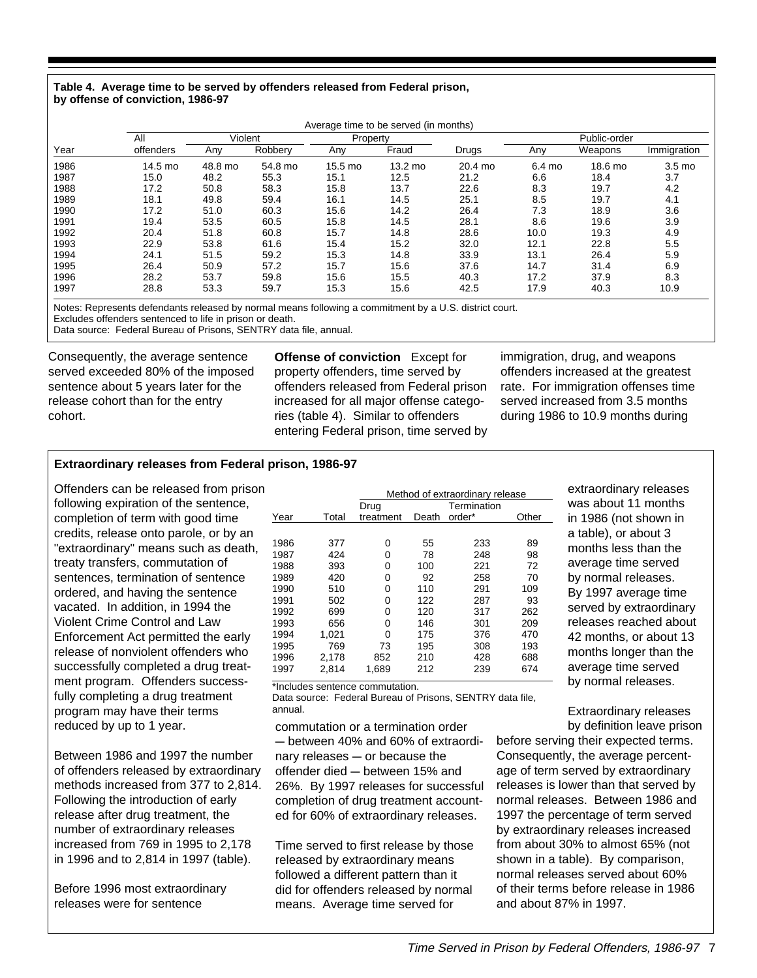#### **Table 4. Average time to be served by offenders released from Federal prison, by offense of conviction, 1986-97**

|      |           | Average time to be served (in months) |         |         |          |         |              |         |                   |  |
|------|-----------|---------------------------------------|---------|---------|----------|---------|--------------|---------|-------------------|--|
|      | All       | Violent                               |         |         | Property |         | Public-order |         |                   |  |
| Year | offenders | Any                                   | Robbery | Any     | Fraud    | Drugs   | Any          | Weapons | Immigration       |  |
| 1986 | 14.5 mo   | 48.8 mo                               | 54.8 mo | 15.5 mo | 13.2 mo  | 20.4 mo | 6.4 mo       | 18.6 mo | 3.5 <sub>mo</sub> |  |
| 1987 | 15.0      | 48.2                                  | 55.3    | 15.1    | 12.5     | 21.2    | 6.6          | 18.4    | 3.7               |  |
| 1988 | 17.2      | 50.8                                  | 58.3    | 15.8    | 13.7     | 22.6    | 8.3          | 19.7    | 4.2               |  |
| 1989 | 18.1      | 49.8                                  | 59.4    | 16.1    | 14.5     | 25.1    | 8.5          | 19.7    | 4.1               |  |
| 1990 | 17.2      | 51.0                                  | 60.3    | 15.6    | 14.2     | 26.4    | 7.3          | 18.9    | 3.6               |  |
| 1991 | 19.4      | 53.5                                  | 60.5    | 15.8    | 14.5     | 28.1    | 8.6          | 19.6    | 3.9               |  |
| 1992 | 20.4      | 51.8                                  | 60.8    | 15.7    | 14.8     | 28.6    | 10.0         | 19.3    | 4.9               |  |
| 1993 | 22.9      | 53.8                                  | 61.6    | 15.4    | 15.2     | 32.0    | 12.1         | 22.8    | 5.5               |  |
| 1994 | 24.1      | 51.5                                  | 59.2    | 15.3    | 14.8     | 33.9    | 13.1         | 26.4    | 5.9               |  |
| 1995 | 26.4      | 50.9                                  | 57.2    | 15.7    | 15.6     | 37.6    | 14.7         | 31.4    | 6.9               |  |
| 1996 | 28.2      | 53.7                                  | 59.8    | 15.6    | 15.5     | 40.3    | 17.2         | 37.9    | 8.3               |  |
| 1997 | 28.8      | 53.3                                  | 59.7    | 15.3    | 15.6     | 42.5    | 17.9         | 40.3    | 10.9              |  |

Notes: Represents defendants released by normal means following a commitment by a U.S. district court.

Excludes offenders sentenced to life in prison or death.

Data source: Federal Bureau of Prisons, SENTRY data file, annual.

Consequently, the average sentence served exceeded 80% of the imposed sentence about 5 years later for the release cohort than for the entry cohort.

**Offense of conviction** Except for property offenders, time served by offenders released from Federal prison increased for all major offense categories (table 4). Similar to offenders entering Federal prison, time served by

immigration, drug, and weapons offenders increased at the greatest rate. For immigration offenses time served increased from 3.5 months during 1986 to 10.9 months during

#### **Extraordinary releases from Federal prison, 1986-97**

Offenders can be released from prison following expiration of the sentence, completion of term with good time credits, release onto parole, or by an "extraordinary" means such as death, treaty transfers, commutation of sentences, termination of sentence ordered, and having the sentence vacated. In addition, in 1994 the Violent Crime Control and Law Enforcement Act permitted the early release of nonviolent offenders who successfully completed a drug treatment program. Offenders successfully completing a drug treatment program may have their terms reduced by up to 1 year.

Between 1986 and 1997 the number of offenders released by extraordinary methods increased from 377 to 2,814. Following the introduction of early release after drug treatment, the number of extraordinary releases increased from 769 in 1995 to 2,178 in 1996 and to 2,814 in 1997 (table).

Before 1996 most extraordinary releases were for sentence

|      |       | Method of extraordinary release |       |             |       |  |  |
|------|-------|---------------------------------|-------|-------------|-------|--|--|
|      |       | Drug                            |       | Termination |       |  |  |
| Year | Total | treatment                       | Death | order*      | Other |  |  |
|      |       |                                 |       |             |       |  |  |
| 1986 | 377   | 0                               | 55    | 233         | 89    |  |  |
| 1987 | 424   | 0                               | 78    | 248         | 98    |  |  |
| 1988 | 393   | 0                               | 100   | 221         | 72    |  |  |
| 1989 | 420   | 0                               | 92    | 258         | 70    |  |  |
| 1990 | 510   | 0                               | 110   | 291         | 109   |  |  |
| 1991 | 502   | 0                               | 122   | 287         | 93    |  |  |
| 1992 | 699   | 0                               | 120   | 317         | 262   |  |  |
| 1993 | 656   | 0                               | 146   | 301         | 209   |  |  |
| 1994 | 1,021 | 0                               | 175   | 376         | 470   |  |  |
| 1995 | 769   | 73                              | 195   | 308         | 193   |  |  |
| 1996 | 2,178 | 852                             | 210   | 428         | 688   |  |  |
| 1997 | 2,814 | 1.689                           | 212   | 239         | 674   |  |  |

Data source: Federal Bureau of Prisons, SENTRY data file, \*Includes sentence commutation.

annual.

commutation or a termination order - between 40% and 60% of extraordinary releases  $-$  or because the offender died  $-$  between 15% and 26%. By 1997 releases for successful completion of drug treatment accounted for 60% of extraordinary releases.

Time served to first release by those released by extraordinary means followed a different pattern than it did for offenders released by normal means. Average time served for

extraordinary releases was about 11 months in 1986 (not shown in a table), or about 3 months less than the average time served by normal releases. By 1997 average time served by extraordinary releases reached about 42 months, or about 13 months longer than the average time served by normal releases.

Extraordinary releases by definition leave prison

before serving their expected terms. Consequently, the average percentage of term served by extraordinary releases is lower than that served by normal releases. Between 1986 and 1997 the percentage of term served by extraordinary releases increased from about 30% to almost 65% (not shown in a table). By comparison, normal releases served about 60% of their terms before release in 1986 and about 87% in 1997.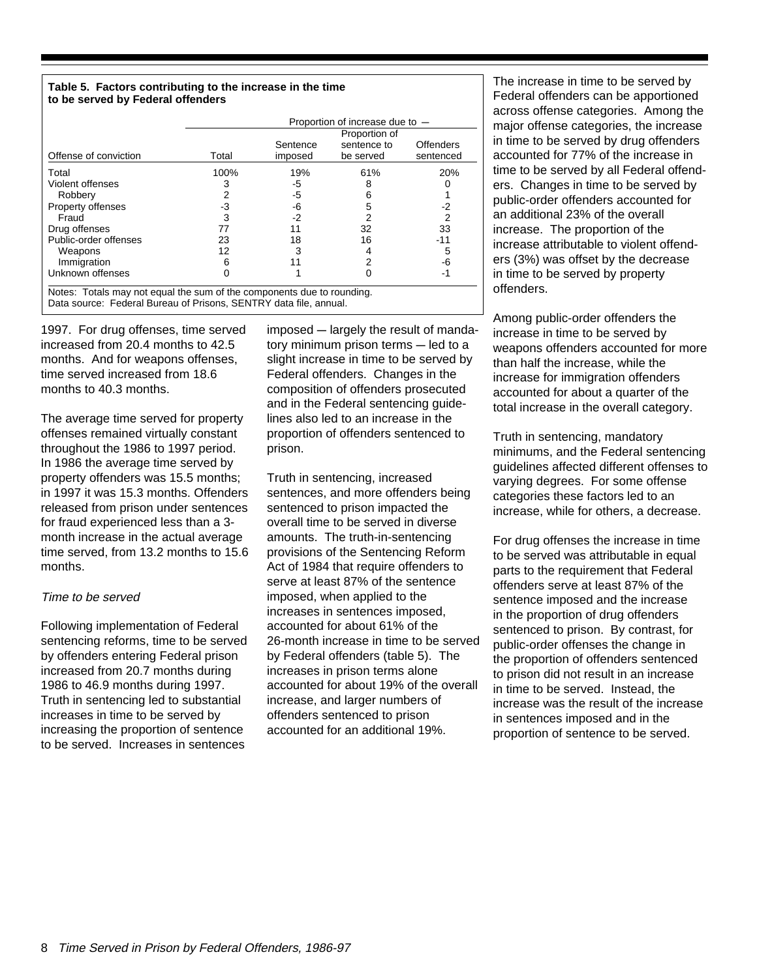#### **Table 5. Factors contributing to the increase in the time to be served by Federal offenders**

|                                                                       | Proportion of increase due to - |                     |                          |                        |  |  |
|-----------------------------------------------------------------------|---------------------------------|---------------------|--------------------------|------------------------|--|--|
|                                                                       |                                 |                     |                          |                        |  |  |
| Offense of conviction                                                 | Total                           | Sentence<br>imposed | sentence to<br>be served | Offenders<br>sentenced |  |  |
|                                                                       |                                 |                     |                          |                        |  |  |
| Total                                                                 | 100%                            | 19%                 | 61%                      | 20%                    |  |  |
| Violent offenses                                                      |                                 | -5                  |                          |                        |  |  |
| Robbery                                                               |                                 | -5                  |                          |                        |  |  |
| Property offenses                                                     | -3                              | -6                  |                          | -2                     |  |  |
| Fraud                                                                 |                                 | -2                  |                          | 2                      |  |  |
| Drug offenses                                                         | 77                              |                     | 32                       | 33                     |  |  |
| Public-order offenses                                                 | 23                              | 18                  | 16                       | -11                    |  |  |
| Weapons                                                               | 12                              |                     |                          | 5                      |  |  |
| Immigration                                                           |                                 |                     |                          | -6                     |  |  |
| Unknown offenses                                                      |                                 |                     |                          | -1                     |  |  |
| Notes: Totale mou not caughthe cum of the companiente due to reunding |                                 |                     |                          |                        |  |  |

Data source: Federal Bureau of Prisons, SENTRY data file, annual. Notes: Totals may not equal the sum of the components due to rounding.

1997. For drug offenses, time served increased from 20.4 months to 42.5 months. And for weapons offenses, time served increased from 18.6 months to 40.3 months.

The average time served for property offenses remained virtually constant throughout the 1986 to 1997 period. In 1986 the average time served by property offenders was 15.5 months; in 1997 it was 15.3 months. Offenders released from prison under sentences for fraud experienced less than a 3 month increase in the actual average time served, from 13.2 months to 15.6 months.

#### Time to be served

Following implementation of Federal sentencing reforms, time to be served by offenders entering Federal prison increased from 20.7 months during 1986 to 46.9 months during 1997. Truth in sentencing led to substantial increases in time to be served by increasing the proportion of sentence to be served. Increases in sentences

imposed - largely the result of mandatory minimum prison terms  $-$  led to a slight increase in time to be served by Federal offenders. Changes in the composition of offenders prosecuted and in the Federal sentencing guidelines also led to an increase in the proportion of offenders sentenced to prison.

Truth in sentencing, increased sentences, and more offenders being sentenced to prison impacted the overall time to be served in diverse amounts. The truth-in-sentencing provisions of the Sentencing Reform Act of 1984 that require offenders to serve at least 87% of the sentence imposed, when applied to the increases in sentences imposed, accounted for about 61% of the 26-month increase in time to be served by Federal offenders (table 5). The increases in prison terms alone accounted for about 19% of the overall increase, and larger numbers of offenders sentenced to prison accounted for an additional 19%.

The increase in time to be served by Federal offenders can be apportioned across offense categories. Among the major offense categories, the increase in time to be served by drug offenders accounted for 77% of the increase in time to be served by all Federal offenders. Changes in time to be served by public-order offenders accounted for an additional 23% of the overall increase. The proportion of the increase attributable to violent offenders (3%) was offset by the decrease in time to be served by property offenders.

Among public-order offenders the increase in time to be served by weapons offenders accounted for more than half the increase, while the increase for immigration offenders accounted for about a quarter of the total increase in the overall category.

Truth in sentencing, mandatory minimums, and the Federal sentencing guidelines affected different offenses to varying degrees. For some offense categories these factors led to an increase, while for others, a decrease.

For drug offenses the increase in time to be served was attributable in equal parts to the requirement that Federal offenders serve at least 87% of the sentence imposed and the increase in the proportion of drug offenders sentenced to prison. By contrast, for public-order offenses the change in the proportion of offenders sentenced to prison did not result in an increase in time to be served. Instead, the increase was the result of the increase in sentences imposed and in the proportion of sentence to be served.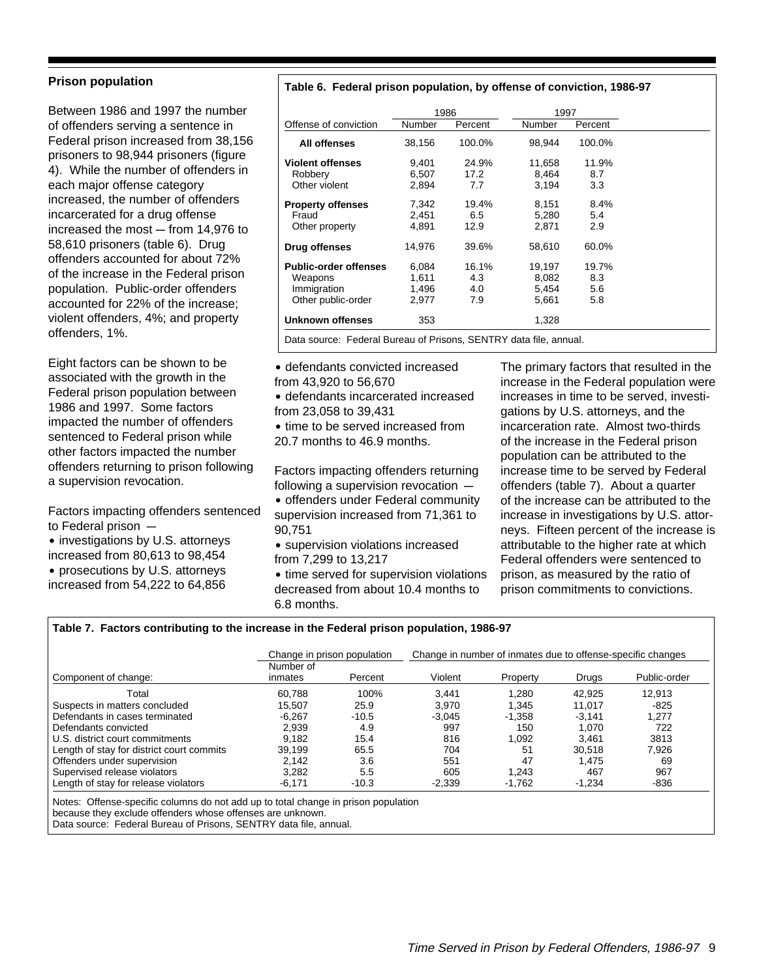#### **Prison population**

Between 1986 and 1997 the number of offenders serving a sentence in Federal prison increased from 38,156 prisoners to 98,944 prisoners (figure 4). While the number of offenders in each major offense category increased, the number of offenders incarcerated for a drug offense increased the most  $-$  from 14,976 to 58,610 prisoners (table 6). Drug offenders accounted for about 72% of the increase in the Federal prison population. Public-order offenders accounted for 22% of the increase; violent offenders, 4%; and property offenders, 1%.

Eight factors can be shown to be associated with the growth in the Federal prison population between 1986 and 1997. Some factors impacted the number of offenders sentenced to Federal prison while other factors impacted the number offenders returning to prison following a supervision revocation.

Factors impacting offenders sentenced to Federal prison  $-$ 

- investigations by U.S. attorneys increased from 80,613 to 98,454
- prosecutions by U.S. attorneys increased from 54,222 to 64,856

#### **Table 6. Federal prison population, by offense of conviction, 1986-97**

|                              |        | 1986    | 1997   |         |
|------------------------------|--------|---------|--------|---------|
| Offense of conviction        | Number | Percent | Number | Percent |
| All offenses                 | 38,156 | 100.0%  | 98,944 | 100.0%  |
| <b>Violent offenses</b>      | 9,401  | 24.9%   | 11,658 | 11.9%   |
| Robbery                      | 6,507  | 17.2    | 8.464  | 8.7     |
| Other violent                | 2,894  | 7.7     | 3.194  | 3.3     |
| <b>Property offenses</b>     | 7,342  | 19.4%   | 8,151  | 8.4%    |
| Fraud                        | 2,451  | 6.5     | 5,280  | 5.4     |
| Other property               | 4,891  | 12.9    | 2,871  | 2.9     |
| Drug offenses                | 14,976 | 39.6%   | 58,610 | 60.0%   |
| <b>Public-order offenses</b> | 6,084  | 16.1%   | 19.197 | 19.7%   |
| Weapons                      | 1,611  | 4.3     | 8,082  | 8.3     |
| Immigration                  | 1,496  | 4.0     | 5,454  | 5.6     |
| Other public-order           | 2,977  | 7.9     | 5,661  | 5.8     |
| Unknown offenses             | 353    |         | 1,328  |         |

Data source: Federal Bureau of Prisons, SENTRY data file, annual.

• defendants convicted increased from 43,920 to 56,670

˘ defendants incarcerated increased from 23,058 to 39,431

• time to be served increased from 20.7 months to 46.9 months.

Factors impacting offenders returning following a supervision revocation  $-$ 

- offenders under Federal community supervision increased from 71,361 to 90,751
- supervision violations increased from 7,299 to 13,217

• time served for supervision violations decreased from about 10.4 months to 6.8 months.

The primary factors that resulted in the increase in the Federal population were increases in time to be served, investigations by U.S. attorneys, and the incarceration rate. Almost two-thirds of the increase in the Federal prison population can be attributed to the increase time to be served by Federal offenders (table 7). About a quarter of the increase can be attributed to the increase in investigations by U.S. attorneys. Fifteen percent of the increase is attributable to the higher rate at which Federal offenders were sentenced to prison, as measured by the ratio of prison commitments to convictions.

#### **Table 7. Factors contributing to the increase in the Federal prison population, 1986-97**

|                                           | Change in prison population |         | Change in number of inmates due to offense-specific changes |          |          |              |
|-------------------------------------------|-----------------------------|---------|-------------------------------------------------------------|----------|----------|--------------|
| Component of change:                      | Number of<br>inmates        | Percent | Violent                                                     | Property | Drugs    | Public-order |
| Total                                     | 60.788                      | 100%    | 3.441                                                       | 1.280    | 42.925   | 12.913       |
| Suspects in matters concluded             | 15.507                      | 25.9    | 3.970                                                       | 1.345    | 11.017   | -825         |
| Defendants in cases terminated            | $-6,267$                    | $-10.5$ | $-3.045$                                                    | $-1,358$ | $-3.141$ | 1,277        |
| Defendants convicted                      | 2.939                       | 4.9     | 997                                                         | 150      | 1.070    | 722          |
| U.S. district court commitments           | 9.182                       | 15.4    | 816                                                         | 1.092    | 3.461    | 3813         |
| Length of stay for district court commits | 39.199                      | 65.5    | 704                                                         | 51       | 30.518   | 7.926        |
| Offenders under supervision               | 2.142                       | 3.6     | 551                                                         | 47       | 1.475    | 69           |
| Supervised release violators              | 3.282                       | 5.5     | 605                                                         | 1.243    | 467      | 967          |
| Length of stay for release violators      | $-6.171$                    | $-10.3$ | $-2,339$                                                    | -1,762   | $-1,234$ | $-836$       |

Notes: Offense-specific columns do not add up to total change in prison population

because they exclude offenders whose offenses are unknown.

Data source: Federal Bureau of Prisons, SENTRY data file, annual.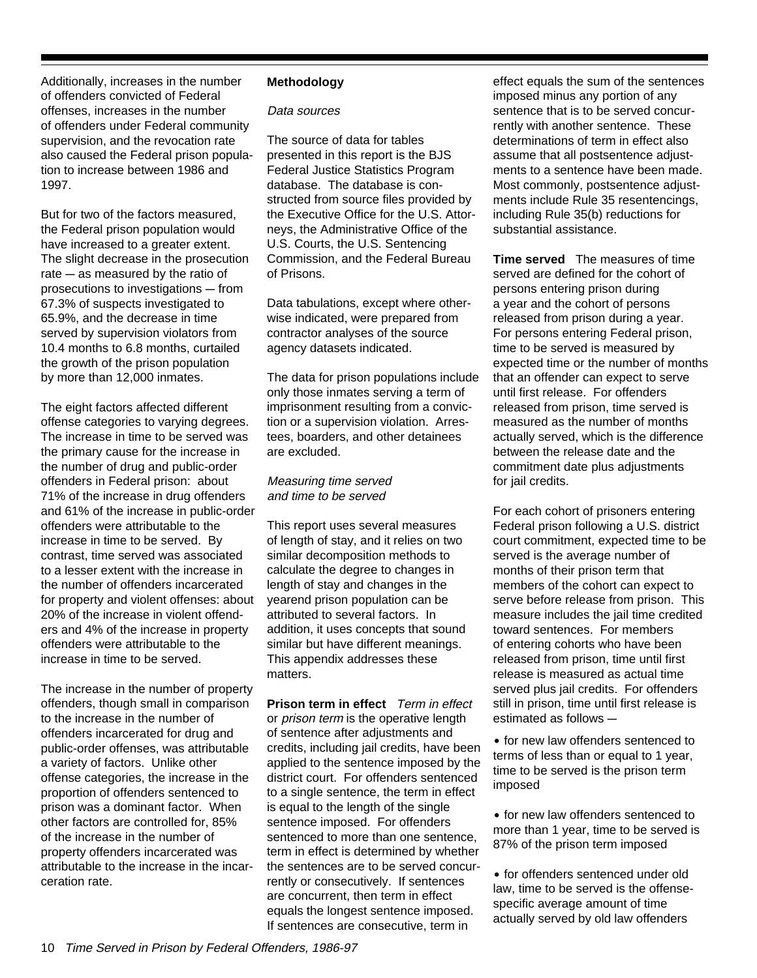Additionally, increases in the number of offenders convicted of Federal offenses, increases in the number of offenders under Federal community supervision, and the revocation rate also caused the Federal prison population to increase between 1986 and 1997.

But for two of the factors measured, the Federal prison population would have increased to a greater extent. The slight decrease in the prosecution rate  $-$  as measured by the ratio of prosecutions to investigations - from 67.3% of suspects investigated to 65.9%, and the decrease in time served by supervision violators from 10.4 months to 6.8 months, curtailed the growth of the prison population by more than 12,000 inmates.

The eight factors affected different offense categories to varying degrees. The increase in time to be served was the primary cause for the increase in the number of drug and public-order offenders in Federal prison: about 71% of the increase in drug offenders and 61% of the increase in public-order offenders were attributable to the increase in time to be served. By contrast, time served was associated to a lesser extent with the increase in the number of offenders incarcerated for property and violent offenses: about 20% of the increase in violent offenders and 4% of the increase in property offenders were attributable to the increase in time to be served.

The increase in the number of property offenders, though small in comparison to the increase in the number of offenders incarcerated for drug and public-order offenses, was attributable a variety of factors. Unlike other offense categories, the increase in the proportion of offenders sentenced to prison was a dominant factor. When other factors are controlled for, 85% of the increase in the number of property offenders incarcerated was attributable to the increase in the incarceration rate.

#### **Methodology**

#### Data sources

The source of data for tables presented in this report is the BJS Federal Justice Statistics Program database. The database is constructed from source files provided by the Executive Office for the U.S. Attorneys, the Administrative Office of the U.S. Courts, the U.S. Sentencing Commission, and the Federal Bureau of Prisons.

Data tabulations, except where otherwise indicated, were prepared from contractor analyses of the source agency datasets indicated.

The data for prison populations include only those inmates serving a term of imprisonment resulting from a conviction or a supervision violation. Arrestees, boarders, and other detainees are excluded.

#### Measuring time served and time to be served

This report uses several measures of length of stay, and it relies on two similar decomposition methods to calculate the degree to changes in length of stay and changes in the yearend prison population can be attributed to several factors. In addition, it uses concepts that sound similar but have different meanings. This appendix addresses these matters.

**Prison term in effect** Term in effect or *prison term* is the operative length of sentence after adjustments and credits, including jail credits, have been applied to the sentence imposed by the district court. For offenders sentenced to a single sentence, the term in effect is equal to the length of the single sentence imposed. For offenders sentenced to more than one sentence, term in effect is determined by whether the sentences are to be served concurrently or consecutively. If sentences are concurrent, then term in effect equals the longest sentence imposed. If sentences are consecutive, term in

effect equals the sum of the sentences imposed minus any portion of any sentence that is to be served concurrently with another sentence. These determinations of term in effect also assume that all postsentence adjustments to a sentence have been made. Most commonly, postsentence adjustments include Rule 35 resentencings, including Rule 35(b) reductions for substantial assistance.

**Time served** The measures of time served are defined for the cohort of persons entering prison during a year and the cohort of persons released from prison during a year. For persons entering Federal prison, time to be served is measured by expected time or the number of months that an offender can expect to serve until first release. For offenders released from prison, time served is measured as the number of months actually served, which is the difference between the release date and the commitment date plus adjustments for jail credits.

For each cohort of prisoners entering Federal prison following a U.S. district court commitment, expected time to be served is the average number of months of their prison term that members of the cohort can expect to serve before release from prison. This measure includes the jail time credited toward sentences. For members of entering cohorts who have been released from prison, time until first release is measured as actual time served plus jail credits. For offenders still in prison, time until first release is estimated as follows  $-$ 

• for new law offenders sentenced to terms of less than or equal to 1 year, time to be served is the prison term imposed

• for new law offenders sentenced to more than 1 year, time to be served is 87% of the prison term imposed

• for offenders sentenced under old law, time to be served is the offensespecific average amount of time actually served by old law offenders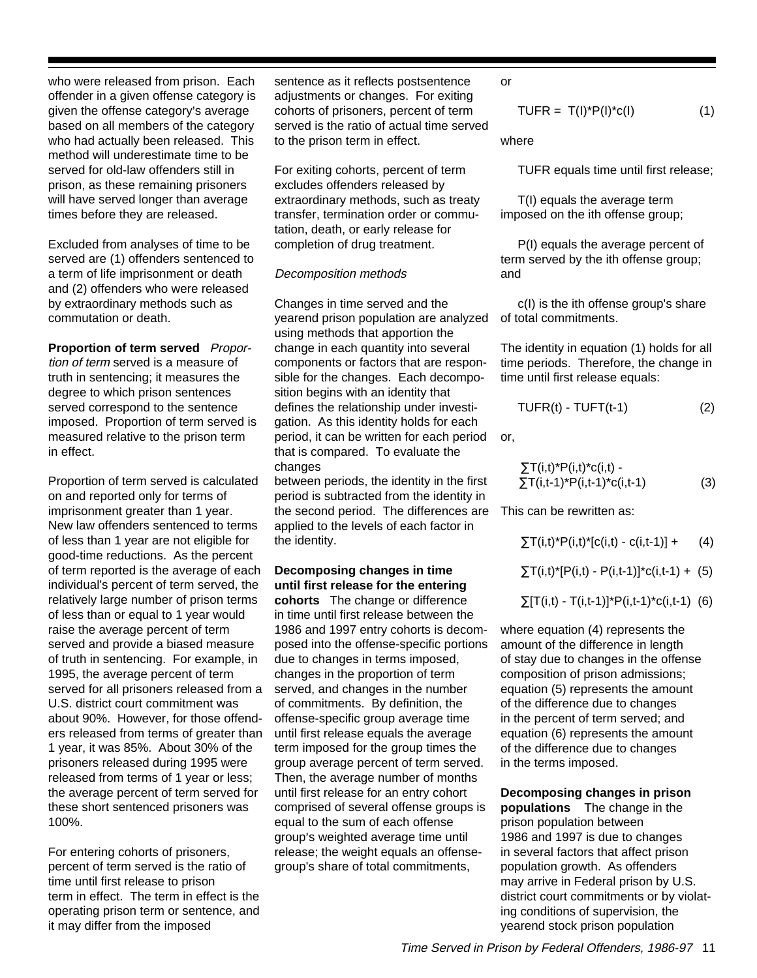who were released from prison. Each offender in a given offense category is given the offense category's average based on all members of the category who had actually been released. This method will underestimate time to be served for old-law offenders still in prison, as these remaining prisoners will have served longer than average times before they are released.

Excluded from analyses of time to be served are (1) offenders sentenced to a term of life imprisonment or death and (2) offenders who were released by extraordinary methods such as commutation or death.

**Proportion of term served** Proportion of term served is a measure of truth in sentencing; it measures the degree to which prison sentences served correspond to the sentence imposed. Proportion of term served is measured relative to the prison term in effect.

Proportion of term served is calculated on and reported only for terms of imprisonment greater than 1 year. New law offenders sentenced to terms of less than 1 year are not eligible for good-time reductions. As the percent of term reported is the average of each individual's percent of term served, the relatively large number of prison terms of less than or equal to 1 year would raise the average percent of term served and provide a biased measure of truth in sentencing. For example, in 1995, the average percent of term served for all prisoners released from a U.S. district court commitment was about 90%. However, for those offenders released from terms of greater than 1 year, it was 85%. About 30% of the prisoners released during 1995 were released from terms of 1 year or less; the average percent of term served for these short sentenced prisoners was 100%.

For entering cohorts of prisoners, percent of term served is the ratio of time until first release to prison term in effect. The term in effect is the operating prison term or sentence, and it may differ from the imposed

sentence as it reflects postsentence adjustments or changes. For exiting cohorts of prisoners, percent of term served is the ratio of actual time served to the prison term in effect.

For exiting cohorts, percent of term excludes offenders released by extraordinary methods, such as treaty transfer, termination order or commutation, death, or early release for completion of drug treatment.

#### Decomposition methods

Changes in time served and the yearend prison population are analyzed of total commitments. using methods that apportion the change in each quantity into several components or factors that are responsible for the changes. Each decomposition begins with an identity that defines the relationship under investigation. As this identity holds for each period, it can be written for each period or, that is compared. To evaluate the changes

between periods, the identity in the first period is subtracted from the identity in the second period. The differences are This can be rewritten as: applied to the levels of each factor in the identity.

#### **Decomposing changes in time until first release for the entering**

**cohorts** The change or difference in time until first release between the 1986 and 1997 entry cohorts is decomposed into the offense-specific portions due to changes in terms imposed, changes in the proportion of term served, and changes in the number of commitments. By definition, the offense-specific group average time until first release equals the average term imposed for the group times the group average percent of term served. Then, the average number of months until first release for an entry cohort comprised of several offense groups is equal to the sum of each offense group's weighted average time until release; the weight equals an offensegroup's share of total commitments,

or

 $TUFR = T(I)^*P(I)^*c(I)$  (1)

where

TUFR equals time until first release;

 T(I) equals the average term imposed on the ith offense group;

 P(I) equals the average percent of term served by the ith offense group; and

c(I) is the ith offense group's share

The identity in equation (1) holds for all time periods. Therefore, the change in time until first release equals:

$$
TUFR(t) - TUFT(t-1) \tag{2}
$$

$$
\Sigma T(i,t)^* P(i,t)^* c(i,t) - \Sigma T(i,t-1)^* P(i,t-1)^* c(i,t-1)
$$
\n(3)

 $\sum T(i,t)^*P(i,t)^*[c(i,t) - c(i,t-1)] + (4)$ 

$$
\sum T(i,t)^*[P(i,t) - P(i,t-1)]^*c(i,t-1) + (5)
$$

$$
\sum [T(i,t) - T(i,t-1)]^* P(i,t-1)^* c(i,t-1)
$$
 (6)

where equation (4) represents the amount of the difference in length of stay due to changes in the offense composition of prison admissions; equation (5) represents the amount of the difference due to changes in the percent of term served; and equation (6) represents the amount of the difference due to changes in the terms imposed.

**Decomposing changes in prison populations** The change in the prison population between 1986 and 1997 is due to changes in several factors that affect prison population growth. As offenders may arrive in Federal prison by U.S. district court commitments or by violating conditions of supervision, the yearend stock prison population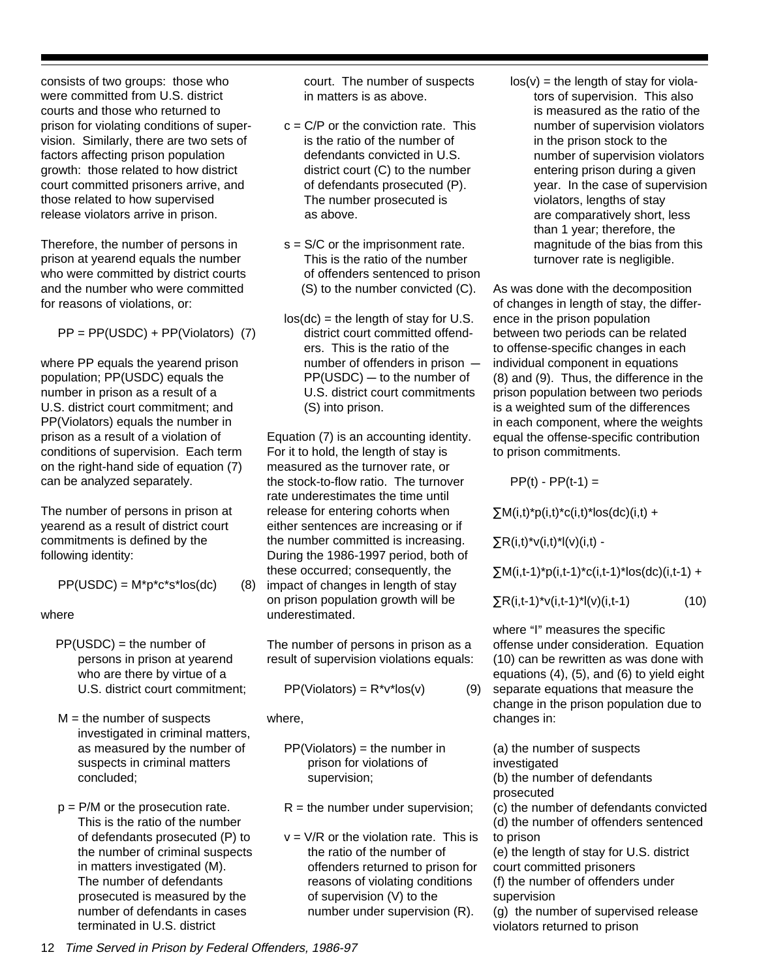consists of two groups: those who were committed from U.S. district courts and those who returned to prison for violating conditions of supervision. Similarly, there are two sets of factors affecting prison population growth: those related to how district court committed prisoners arrive, and those related to how supervised release violators arrive in prison.

Therefore, the number of persons in prison at yearend equals the number who were committed by district courts and the number who were committed for reasons of violations, or:

PP = PP(USDC) + PP(Violators) (7)

where PP equals the yearend prison population; PP(USDC) equals the number in prison as a result of a U.S. district court commitment; and PP(Violators) equals the number in prison as a result of a violation of conditions of supervision. Each term on the right-hand side of equation (7) can be analyzed separately.

The number of persons in prison at yearend as a result of district court commitments is defined by the following identity:

$$
PP(USDC) = M^*p^*c^*s^*los(dc)
$$
 (8)

where

- PP(USDC) = the number of persons in prison at yearend who are there by virtue of a U.S. district court commitment;
- $M =$  the number of suspects investigated in criminal matters, as measured by the number of suspects in criminal matters concluded;
- $p = P/M$  or the prosecution rate. This is the ratio of the number of defendants prosecuted (P) to the number of criminal suspects in matters investigated (M). The number of defendants prosecuted is measured by the number of defendants in cases terminated in U.S. district

court. The number of suspects in matters is as above.

- $c = C/P$  or the conviction rate. This is the ratio of the number of defendants convicted in U.S. district court (C) to the number of defendants prosecuted (P). The number prosecuted is as above.
- s = S/C or the imprisonment rate. This is the ratio of the number of offenders sentenced to prison (S) to the number convicted (C).
- $\log$  (dc) = the length of stay for U.S. district court committed offenders. This is the ratio of the number of offenders in prison  $PP(USDC)$  — to the number of U.S. district court commitments (S) into prison.

Equation (7) is an accounting identity. For it to hold, the length of stay is measured as the turnover rate, or the stock-to-flow ratio. The turnover rate underestimates the time until release for entering cohorts when either sentences are increasing or if the number committed is increasing. During the 1986-1997 period, both of these occurred; consequently, the impact of changes in length of stay on prison population growth will be underestimated.

The number of persons in prison as a result of supervision violations equals:

$$
PP(Violators) = R^*v^*los(v) \tag{9}
$$

where,

- $PP(Violators) =$  the number in prison for violations of supervision;
- $R =$  the number under supervision;
- $v = V/R$  or the violation rate. This is the ratio of the number of offenders returned to prison for reasons of violating conditions of supervision (V) to the number under supervision (R).

 $\log(v)$  = the length of stay for violators of supervision. This also is measured as the ratio of the number of supervision violators in the prison stock to the number of supervision violators entering prison during a given year. In the case of supervision violators, lengths of stay are comparatively short, less than 1 year; therefore, the magnitude of the bias from this turnover rate is negligible.

As was done with the decomposition of changes in length of stay, the difference in the prison population between two periods can be related to offense-specific changes in each individual component in equations (8) and (9). Thus, the difference in the prison population between two periods is a weighted sum of the differences in each component, where the weights equal the offense-specific contribution to prison commitments.

 $PP(t) - PP(t-1) =$ 

 $\sum M(i,t)^*p(i,t)^*c(i,t)^*$ los(dc)(i,t) +

 $\sum R(i,t)^*v(i,t)^*l(v)(i,t)$  -

 $\sum M(i,t-1)^*p(i,t-1)^*c(i,t-1)^*$ los(dc)(i,t-1) +

 $\sum R(i,t-1)^*v(i,t-1)^*l(v)(i,t-1)$  (10)

where "I" measures the specific offense under consideration. Equation (10) can be rewritten as was done with equations (4), (5), and (6) to yield eight separate equations that measure the change in the prison population due to changes in:

(a) the number of suspects investigated (b) the number of defendants prosecuted (c) the number of defendants convicted (d) the number of offenders sentenced to prison (e) the length of stay for U.S. district court committed prisoners (f) the number of offenders under supervision (g) the number of supervised release violators returned to prison